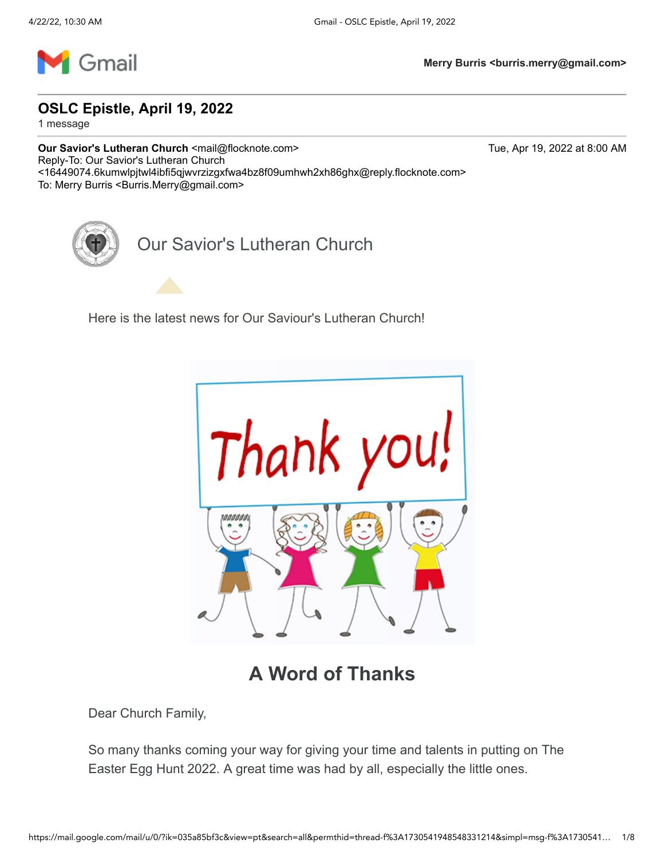

**OSLC Epistle, April 19, 2022**

1 message

**Our Savior's Lutheran Church <mail@flocknote.com> Tue, Apr 19, 2022 at 8:00 AM** Reply-To: Our Savior's Lutheran Church <16449074.6kumwlpjtwl4ibfi5qjwvrzizgxfwa4bz8f09umhwh2xh86ghx@reply.flocknote.com> To: Merry Burris < Burris.Merry@gmail.com>

Our Savior's Lutheran Church

Here is the latest news for Our Saviour's Lutheran Church!



**A Word of Thanks**

Dear Church Family,

So many thanks coming your way for giving your time and talents in putting on The Easter Egg Hunt 2022. A great time was had by all, especially the little ones.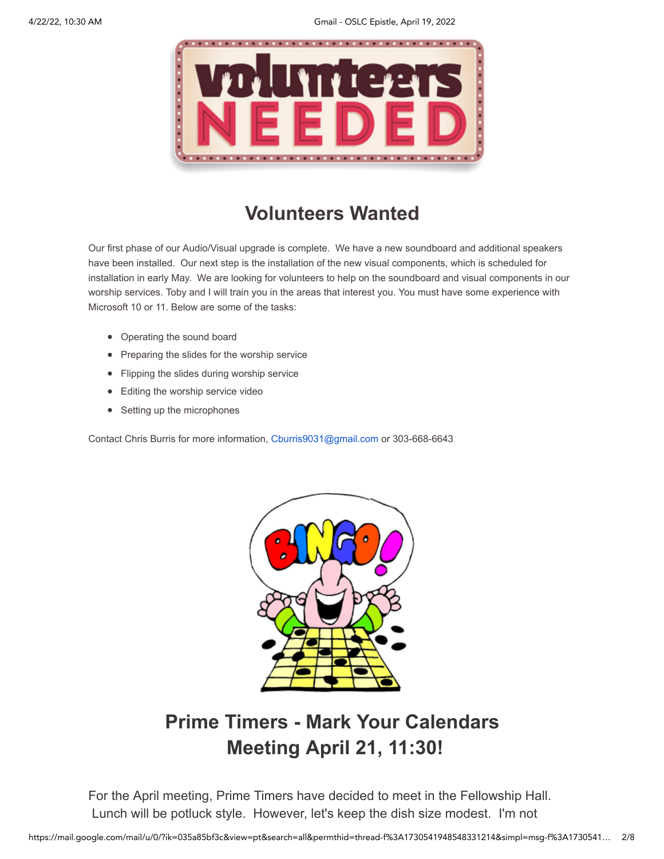

### **Volunteers Wanted**

Our first phase of our Audio/Visual upgrade is complete. We have a new soundboard and additional speakers have been installed. Our next step is the installation of the new visual components, which is scheduled for installation in early May. We are looking for volunteers to help on the soundboard and visual components in our worship services. Toby and I will train you in the areas that interest you. You must have some experience with Microsoft 10 or 11. Below are some of the tasks:

- Operating the sound board
- Preparing the slides for the worship service
- Flipping the slides during worship service
- Editing the worship service video
- Setting up the microphones

Contact Chris Burris for more information, [Cburris9031@gmail.com](mailto:Cburris9031@gmail.com) or 303-668-6643



## **Prime Timers - Mark Your Calendars Meeting April 21, 11:30!**

For the April meeting, Prime Timers have decided to meet in the Fellowship Hall. Lunch will be potluck style. However, let's keep the dish size modest. I'm not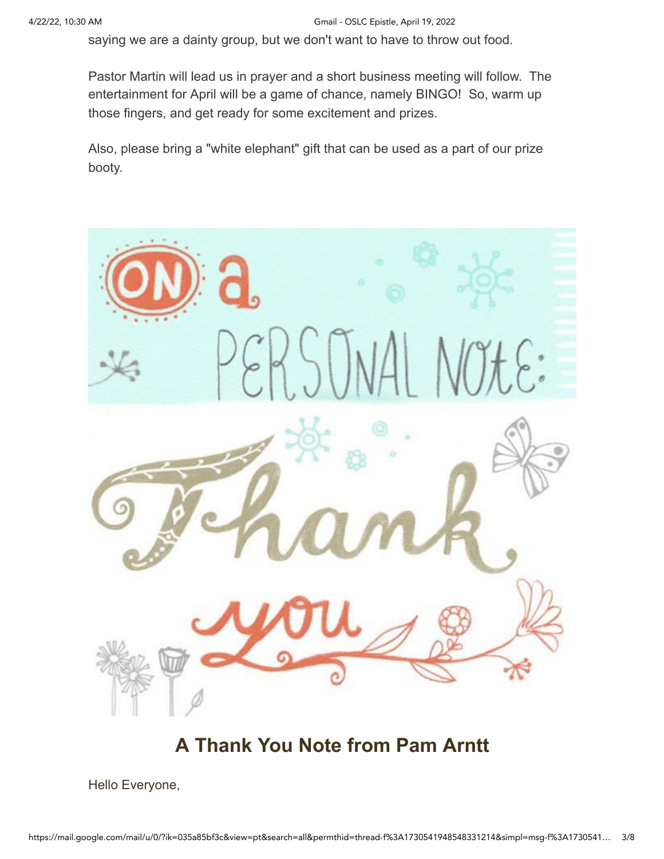saying we are a dainty group, but we don't want to have to throw out food.

Pastor Martin will lead us in prayer and a short business meeting will follow. The entertainment for April will be a game of chance, namely BINGO! So, warm up those fingers, and get ready for some excitement and prizes.

Also, please bring a "white elephant" gift that can be used as a part of our prize booty.



#### **A Thank You Note from Pam Arntt**

Hello Everyone,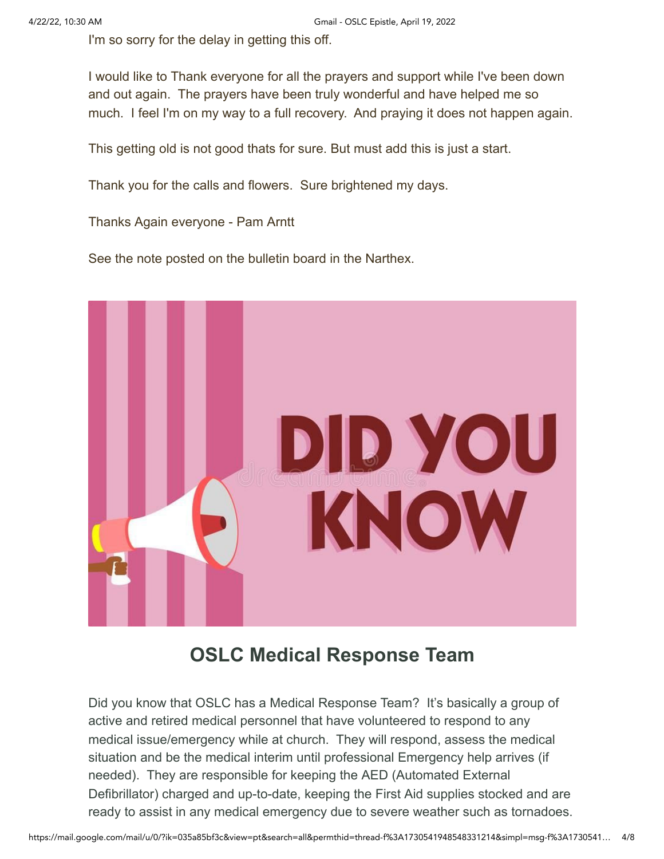I'm so sorry for the delay in getting this off.

I would like to Thank everyone for all the prayers and support while I've been down and out again. The prayers have been truly wonderful and have helped me so much. I feel I'm on my way to a full recovery. And praying it does not happen again.

This getting old is not good thats for sure. But must add this is just a start.

Thank you for the calls and flowers. Sure brightened my days.

Thanks Again everyone - Pam Arntt

See the note posted on the bulletin board in the Narthex.



#### **OSLC Medical Response Team**

Did you know that OSLC has a Medical Response Team? It's basically a group of active and retired medical personnel that have volunteered to respond to any medical issue/emergency while at church. They will respond, assess the medical situation and be the medical interim until professional Emergency help arrives (if needed). They are responsible for keeping the AED (Automated External Defibrillator) charged and up-to-date, keeping the First Aid supplies stocked and are ready to assist in any medical emergency due to severe weather such as tornadoes.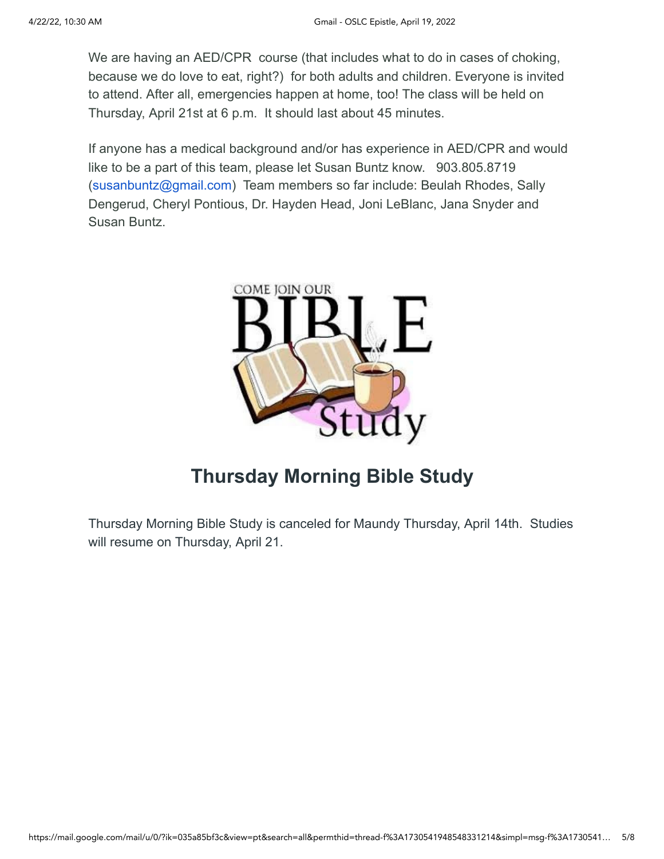We are having an AED/CPR course (that includes what to do in cases of choking, because we do love to eat, right?) for both adults and children. Everyone is invited to attend. After all, emergencies happen at home, too! The class will be held on Thursday, April 21st at 6 p.m. It should last about 45 minutes.

If anyone has a medical background and/or has experience in AED/CPR and would like to be a part of this team, please let Susan Buntz know. 903.805.8719 [\(susanbuntz@gmail.com](mailto:susanbuntz@gmail.com)) Team members so far include: Beulah Rhodes, Sally Dengerud, Cheryl Pontious, Dr. Hayden Head, Joni LeBlanc, Jana Snyder and Susan Buntz.



#### **Thursday Morning Bible Study**

Thursday Morning Bible Study is canceled for Maundy Thursday, April 14th. Studies will resume on Thursday, April 21.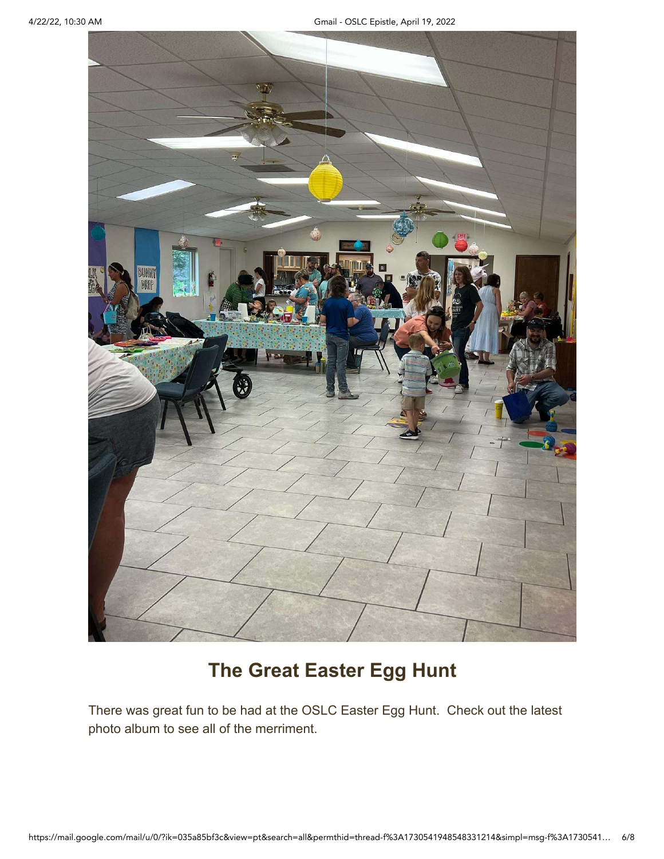

#### **The Great Easter Egg Hunt**

There was great fun to be had at the OSLC Easter Egg Hunt. Check out the latest photo album to see all of the merriment.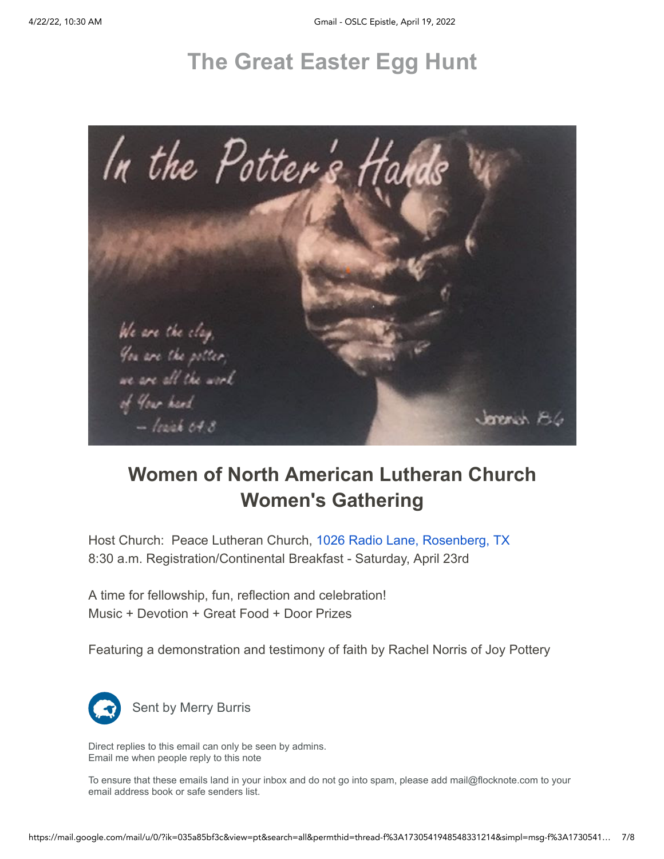# **[The Great Easter Egg Hunt](https://email-mg.flocknote.com/c/eJwtjssOwiAURL-m7EouD6UsWOjCnR9BL9ASaWkAY_r3YmIym8mZ5IwzigmuJImGA-cgmWYCgGsqgw4OQCBzqDzDQUJIGV97bp5i3shqEC82zN6qK8xhkgzVpOeJB7hyZcExksza2lEHcRv4oyfXhO1MvtBclt53_6nj5l20fzgea255XGzqo5MUc3-XEit9-lLO_mDZbEw_-xdmSzn0)**



# **Women of North American Lutheran Church Women's Gathering**

Host Church: Peace Lutheran Church, [1026 Radio Lane, Rosenberg, TX](https://www.google.com/maps/search/1026+Radio+Lane,+Rosenberg,+TX?entry=gmail&source=g) 8:30 a.m. Registration/Continental Breakfast - Saturday, April 23rd

A time for fellowship, fun, reflection and celebration! Music + Devotion + Great Food + Door Prizes

Featuring a demonstration and testimony of faith by Rachel Norris of Joy Pottery



Sent by Merry Burris

Direct replies to this email can only be seen by admins. [Email me when people reply to this note](https://email-mg.flocknote.com/c/eJxVkMtugzAQRb8GlsgvMF6wgLSRWkKiUvUDsLHBvGMgEL6-jrqqNNIcXekejaaMKMSIEldHCCAECGQQA4CYRxRTJQBYwFJQCYVDgOpG0Q7jIj0x9m4dQT8sCQkQAzwkXKqyVIUUAHOAC6aocruoXpZpdnDsoLOd2_fl5P2z2PCFdsGAEAYocfBZDMPk4DfsoGAZWzn8sXXE8V2ncQUPfT2uVSJ0ln_aKvUeNE_4F7q8mzyb8SPVqfhpPvab9lmft08rWmdprCdo137rpmbZOqK50v692R7m0Ee1q60g_AgVYGtfbzXa6zCo6t01UbIao2cvk8Y87RuqvtDd6_hfM5hj2Q)

To ensure that these emails land in your inbox and do not go into spam, please add mail@flocknote.com to your email address book or safe senders list.